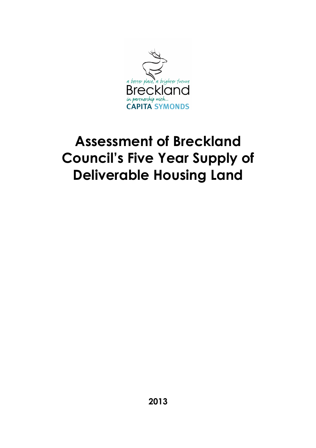

# **Assessment of Breckland Council's Five Year Supply of Deliverable Housing Land**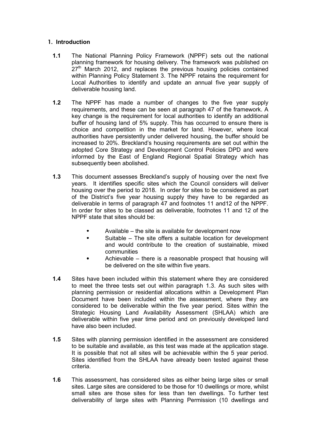#### **1. Introduction**

- **1.1** The National Planning Policy Framework (NPPF) sets out the national planning framework for housing delivery. The framework was published on  $27<sup>th</sup>$  March 2012, and replaces the previous housing policies contained within Planning Policy Statement 3. The NPPF retains the requirement for Local Authorities to identify and update an annual five year supply of deliverable housing land.
- **1.2** The NPPF has made a number of changes to the five year supply requirements, and these can be seen at paragraph 47 of the framework. A key change is the requirement for local authorities to identify an additional buffer of housing land of 5% supply. This has occurred to ensure there is choice and competition in the market for land. However, where local authorities have persistently under delivered housing, the buffer should be increased to 20%. Breckland's housing requirements are set out within the adopted Core Strategy and Development Control Policies DPD and were informed by the East of England Regional Spatial Strategy which has subsequently been abolished.
- **1.3** This document assesses Breckland's supply of housing over the next five years. It identifies specific sites which the Council considers will deliver housing over the period to 2018. In order for sites to be considered as part of the District's five year housing supply they have to be regarded as deliverable in terms of paragraph 47 and footnotes 11 and12 of the NPPF. In order for sites to be classed as deliverable, footnotes 11 and 12 of the NPPF state that sites should be:
	- Available the site is available for development now
	- Suitable The site offers a suitable location for development and would contribute to the creation of sustainable, mixed communities
	- Achievable there is a reasonable prospect that housing will be delivered on the site within five years.
- **1.4** Sites have been included within this statement where they are considered to meet the three tests set out within paragraph 1.3. As such sites with planning permission or residential allocations within a Development Plan Document have been included within the assessment, where they are considered to be deliverable within the five year period. Sites within the Strategic Housing Land Availability Assessment (SHLAA) which are deliverable within five year time period and on previously developed land have also been included.
- **1.5** Sites with planning permission identified in the assessment are considered to be suitable and available, as this test was made at the application stage. It is possible that not all sites will be achievable within the 5 year period. Sites identified from the SHLAA have already been tested against these criteria.
- **1.6** This assessment, has considered sites as either being large sites or small sites. Large sites are considered to be those for 10 dwellings or more, whilst small sites are those sites for less than ten dwellings. To further test deliverability of large sites with Planning Permission (10 dwellings and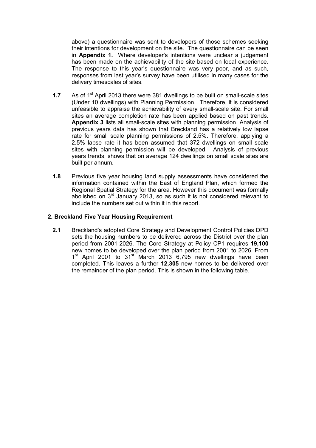above) a questionnaire was sent to developers of those schemes seeking their intentions for development on the site. The questionnaire can be seen in **Appendix 1.** Where developer's intentions were unclear a judgement has been made on the achievability of the site based on local experience. The response to this year's questionnaire was very poor, and as such, responses from last year's survey have been utilised in many cases for the delivery timescales of sites.

- **1.7** As of 1<sup>st</sup> April 2013 there were 381 dwellings to be built on small-scale sites (Under 10 dwellings) with Planning Permission. Therefore, it is considered unfeasible to appraise the achievability of every small-scale site. For small sites an average completion rate has been applied based on past trends. **Appendix 3** lists all small-scale sites with planning permission. Analysis of previous years data has shown that Breckland has a relatively low lapse rate for small scale planning permissions of 2.5%. Therefore, applying a 2.5% lapse rate it has been assumed that 372 dwellings on small scale sites with planning permission will be developed. Analysis of previous years trends, shows that on average 124 dwellings on small scale sites are built per annum.
- **1.8** Previous five year housing land supply assessments have considered the information contained within the East of England Plan, which formed the Regional Spatial Strategy for the area. However this document was formally abolished on 3rd January 2013, so as such it is not considered relevant to include the numbers set out within it in this report.

#### **2. Breckland Five Year Housing Requirement**

**2.1** Breckland's adopted Core Strategy and Development Control Policies DPD sets the housing numbers to be delivered across the District over the plan period from 2001-2026. The Core Strategy at Policy CP1 requires **19,100** new homes to be developed over the plan period from 2001 to 2026. From 1<sup>st</sup> April 2001 to 31<sup>st</sup> March 2013 6,795 new dwellings have been completed. This leaves a further **12,305** new homes to be delivered over the remainder of the plan period. This is shown in the following table.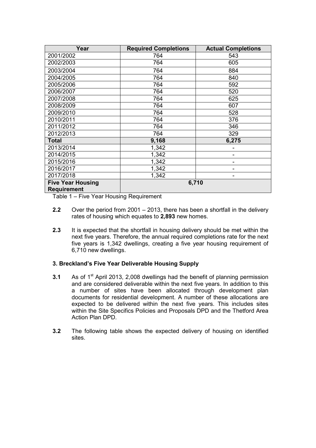| Year                                           | <b>Required Completions</b> | <b>Actual Completions</b> |
|------------------------------------------------|-----------------------------|---------------------------|
| 2001/2002                                      | 764                         | 543                       |
| 2002/2003                                      | 764                         | 605                       |
| 2003/2004                                      | 764                         | 884                       |
| 2004/2005                                      | 764                         | 840                       |
| 2005/2006                                      | 764                         | 592                       |
| 2006/2007                                      | 764                         | 520                       |
| 2007/2008                                      | 764                         | 625                       |
| 2008/2009                                      | 764                         | 607                       |
| 2009/2010                                      | 764                         | 528                       |
| 2010/2011                                      | 764                         | 376                       |
| 2011/2012                                      | 764                         | 346                       |
| 2012/2013                                      | 764                         | 329                       |
| <b>Total</b>                                   | 9,168                       | 6,275                     |
| 2013/2014                                      | 1,342                       |                           |
| 2014/2015                                      | 1,342                       |                           |
| 2015/2016                                      | 1,342                       |                           |
| 2016/2017                                      | 1,342                       |                           |
| 2017/2018                                      | 1,342                       | -                         |
| <b>Five Year Housing</b><br><b>Requirement</b> | 6,710                       |                           |

Table 1 – Five Year Housing Requirement

- **2.2** Over the period from 2001 2013, there has been a shortfall in the delivery rates of housing which equates to **2,893** new homes.
- **2.3** It is expected that the shortfall in housing delivery should be met within the next five years. Therefore, the annual required completions rate for the next five years is 1,342 dwellings, creating a five year housing requirement of 6,710 new dwellings.

#### **3. Breckland's Five Year Deliverable Housing Supply**

- **3.1** As of 1<sup>st</sup> April 2013, 2,008 dwellings had the benefit of planning permission and are considered deliverable within the next five years. In addition to this a number of sites have been allocated through development plan documents for residential development. A number of these allocations are expected to be delivered within the next five years. This includes sites within the Site Specifics Policies and Proposals DPD and the Thetford Area Action Plan DPD.
- **3.2** The following table shows the expected delivery of housing on identified sites.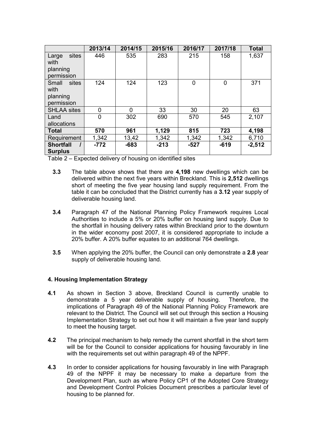|                    | 2013/14 | 2014/15 | 2015/16 | 2016/17 | 2017/18 | <b>Total</b> |
|--------------------|---------|---------|---------|---------|---------|--------------|
| sites<br>Large     | 446     | 535     | 283     | 215     | 158     | 1,637        |
| with               |         |         |         |         |         |              |
| planning           |         |         |         |         |         |              |
| permission         |         |         |         |         |         |              |
| Small<br>sites     | 124     | 124     | 123     | 0       | 0       | 371          |
| with               |         |         |         |         |         |              |
| planning           |         |         |         |         |         |              |
| permission         |         |         |         |         |         |              |
| <b>SHLAA sites</b> | 0       | 0       | 33      | 30      | 20      | 63           |
| Land               | 0       | 302     | 690     | 570     | 545     | 2,107        |
| allocations        |         |         |         |         |         |              |
| <b>Total</b>       | 570     | 961     | 1,129   | 815     | 723     | 4,198        |
| Requirement        | 1,342   | 13,42   | 1,342   | 1,342   | 1,342   | 6,710        |
| <b>Shortfall</b>   | $-772$  | $-683$  | $-213$  | $-527$  | $-619$  | $-2,512$     |
| <b>Surplus</b>     |         |         |         |         |         |              |

Table 2 – Expected delivery of housing on identified sites

- **3.3** The table above shows that there are **4,198** new dwellings which can be delivered within the next five years within Breckland. This is **2,512** dwellings short of meeting the five year housing land supply requirement. From the table it can be concluded that the District currently has a **3.12** year supply of deliverable housing land.
- **3.4** Paragraph 47 of the National Planning Policy Framework requires Local Authorities to include a 5% or 20% buffer on housing land supply. Due to the shortfall in housing delivery rates within Breckland prior to the downturn in the wider economy post 2007, it is considered appropriate to include a 20% buffer. A 20% buffer equates to an additional 764 dwellings.
- **3.5** When applying the 20% buffer, the Council can only demonstrate a **2.8** year supply of deliverable housing land.

#### **4. Housing Implementation Strategy**

- **4.1** As shown in Section 3 above, Breckland Council is currently unable to demonstrate a 5 year deliverable supply of housing. Therefore, the implications of Paragraph 49 of the National Planning Policy Framework are relevant to the District. The Council will set out through this section a Housing Implementation Strategy to set out how it will maintain a five year land supply to meet the housing target.
- **4.2** The principal mechanism to help remedy the current shortfall in the short term will be for the Council to consider applications for housing favourably in line with the requirements set out within paragraph 49 of the NPPF.
- **4.3** In order to consider applications for housing favourably in line with Paragraph 49 of the NPPF it may be necessary to make a departure from the Development Plan, such as where Policy CP1 of the Adopted Core Strategy and Development Control Policies Document prescribes a particular level of housing to be planned for.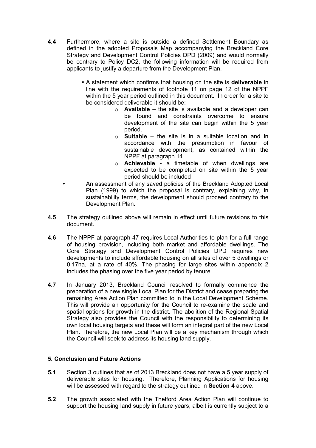- **4.4** Furthermore, where a site is outside a defined Settlement Boundary as defined in the adopted Proposals Map accompanying the Breckland Core Strategy and Development Control Policies DPD (2009) and would normally be contrary to Policy DC2, the following information will be required from applicants to justify a departure from the Development Plan.
	- A statement which confirms that housing on the site is **deliverable** in line with the requirements of footnote 11 on page 12 of the NPPF within the 5 year period outlined in this document. In order for a site to be considered deliverable it should be:
		- o **Available** the site is available and a developer can be found and constraints overcome to ensure development of the site can begin within the 5 year period.
		- o **Suitable** the site is in a suitable location and in accordance with the presumption in favour of sustainable development, as contained within the NPPF at paragraph 14.
		- o **Achievable**  a timetable of when dwellings are expected to be completed on site within the 5 year period should be included
	- An assessment of any saved policies of the Breckland Adopted Local Plan (1999) to which the proposal is contrary, explaining why, in sustainability terms, the development should proceed contrary to the Development Plan.
- **4.5** The strategy outlined above will remain in effect until future revisions to this document.
- **4.6** The NPPF at paragraph 47 requires Local Authorities to plan for a full range of housing provision, including both market and affordable dwellings. The Core Strategy and Development Control Policies DPD requires new developments to include affordable housing on all sites of over 5 dwellings or 0.17ha, at a rate of 40%. The phasing for large sites within appendix 2 includes the phasing over the five year period by tenure.
- **4.7** In January 2013, Breckland Council resolved to formally commence the preparation of a new single Local Plan for the District and cease preparing the remaining Area Action Plan committed to in the Local Development Scheme. This will provide an opportunity for the Council to re-examine the scale and spatial options for growth in the district. The abolition of the Regional Spatial Strategy also provides the Council with the responsibility to determining its own local housing targets and these will form an integral part of the new Local Plan. Therefore, the new Local Plan will be a key mechanism through which the Council will seek to address its housing land supply.

#### **5. Conclusion and Future Actions**

- **5.1** Section 3 outlines that as of 2013 Breckland does not have a 5 year supply of deliverable sites for housing. Therefore, Planning Applications for housing will be assessed with regard to the strategy outlined in **Section 4** above.
- **5.2** The growth associated with the Thetford Area Action Plan will continue to support the housing land supply in future years, albeit is currently subject to a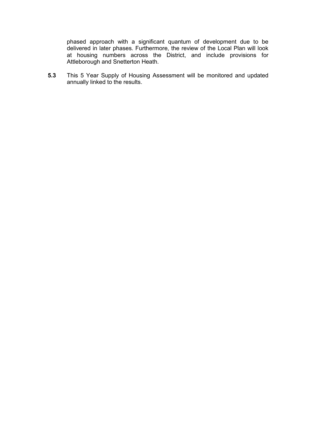phased approach with a significant quantum of development due to be delivered in later phases. Furthermore, the review of the Local Plan will look at housing numbers across the District, and include provisions for Attleborough and Snetterton Heath.

**5.3** This 5 Year Supply of Housing Assessment will be monitored and updated annually linked to the results.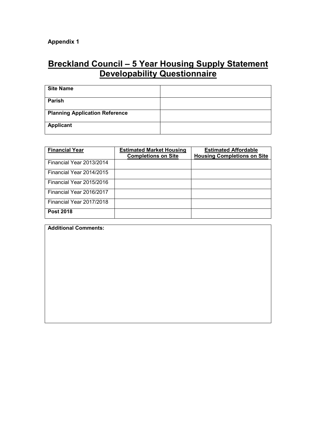# **Breckland Council – 5 Year Housing Supply Statement Developability Questionnaire**

| <b>Site Name</b>                      |  |
|---------------------------------------|--|
| <b>Parish</b>                         |  |
| <b>Planning Application Reference</b> |  |
|                                       |  |
| Applicant                             |  |
|                                       |  |

| <b>Financial Year</b>    | <b>Estimated Market Housing</b><br><b>Completions on Site</b> | <b>Estimated Affordable</b><br><b>Housing Completions on Site</b> |
|--------------------------|---------------------------------------------------------------|-------------------------------------------------------------------|
|                          |                                                               |                                                                   |
| Financial Year 2013/2014 |                                                               |                                                                   |
| Financial Year 2014/2015 |                                                               |                                                                   |
| Financial Year 2015/2016 |                                                               |                                                                   |
| Financial Year 2016/2017 |                                                               |                                                                   |
| Financial Year 2017/2018 |                                                               |                                                                   |
| <b>Post 2018</b>         |                                                               |                                                                   |

**Additional Comments:**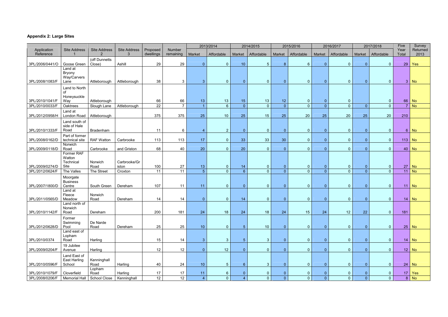## **Appendix 2: Large Sites**

|                                    |                                     |                             |                          |                       |                     |                      | 2013/2014                         |                                | 2014/2015                     |                                  | 2015/2016                  |                | 2016/2017           |          | 2017/2018                      | Five            | Survey             |
|------------------------------------|-------------------------------------|-----------------------------|--------------------------|-----------------------|---------------------|----------------------|-----------------------------------|--------------------------------|-------------------------------|----------------------------------|----------------------------|----------------|---------------------|----------|--------------------------------|-----------------|--------------------|
| Application<br>Reference           | <b>Site Address</b>                 | <b>Site Address</b>         | <b>Site Address</b><br>ર | Proposed<br>dwellings | Number<br>remaining | Market               | Affordable                        | Market                         | Affordable                    | Market                           | Affordable                 | Market         | Affordable          | Market   | Affordable                     | Year<br>Total   | Returned<br>2013   |
|                                    |                                     | (off Dunnetts               |                          |                       |                     |                      |                                   |                                |                               |                                  |                            |                |                     |          |                                |                 |                    |
| 3PL/2006/0441/O                    | Goose Green<br>Land at              | Close)                      | Ashill                   | 29                    | 29                  | $\overline{0}$       | $\overline{0}$                    | 10 <sup>°</sup>                | $5\overline{)}$               | 8 <sup>°</sup>                   | $6\phantom{1}6$            |                | $\Omega$            |          | $\mathbf{0}$                   | 29              | Yes                |
|                                    | Bryony                              |                             |                          |                       |                     |                      |                                   |                                |                               |                                  |                            |                |                     |          |                                |                 |                    |
| 3PL/2008/1083/F                    | Way/Carvers<br>Lane                 | Attleborough                | Attleborough             | 38                    | 3                   | -3                   | $\overline{0}$                    | $\overline{0}$                 | $\overline{0}$                | $\overline{0}$                   | $\overline{0}$             | $\Omega$       | $\Omega$            | $\Omega$ | $\mathbf{0}$                   |                 | $3 \mid$ No        |
|                                    | Land to North                       |                             |                          |                       |                     |                      |                                   |                                |                               |                                  |                            |                |                     |          |                                |                 |                    |
|                                    | 0f                                  |                             |                          |                       |                     |                      |                                   |                                |                               |                                  |                            |                |                     |          |                                |                 |                    |
| 3PL/2010/1041/F                    | Honeysuckle<br>Way                  | Attleborough                |                          | 66                    | 66                  | 13                   | 13                                | 15                             | 13                            | 12                               | $\bf{0}$                   |                | $\mathbf 0$         |          | $\mathbf{0}$                   | 66              | <b>No</b>          |
| 3PL/2010/0033/F                    | Oaktrees                            | Slough Lane                 | Attleborough             | 22                    | $\overline{7}$      | $\blacktriangleleft$ | $6\phantom{1}$                    | $\overline{0}$                 | $\overline{0}$                | $\overline{0}$                   | $\overline{0}$             | $\overline{0}$ | $\overline{0}$      | $\Omega$ | $\overline{0}$                 |                 | $7 \mid$ No        |
|                                    | Land at                             |                             |                          |                       |                     |                      |                                   |                                |                               |                                  |                            |                |                     |          |                                |                 |                    |
| 3PL/2012/0958/H                    | London Road<br>Land south of        | Attleborough                |                          | 375                   | 375                 | 25                   | 10                                | 25                             | 15                            | 25                               | 20                         | 25             | 20                  | 25       | 20                             | 210             |                    |
|                                    | side of Hale                        |                             |                          |                       |                     |                      |                                   |                                |                               |                                  |                            |                |                     |          |                                |                 |                    |
| 3PL/2010/1333/F                    | Road                                | Bradenham                   |                          | 11                    | 6                   | 4                    | $\overline{2}$                    | $\overline{0}$                 | $\overline{0}$                | $\overline{0}$                   | $\mathbf 0$                | $\Omega$       | $\overline{0}$      |          | $\mathbf{0}$                   | 6 <sup>1</sup>  | <b>No</b>          |
| 3PL/2008/0162/D                    | Part of former<br>technical site    | <b>RAF Watton</b>           | Carbrooke                | 113                   | 113                 | 17                   | $\overline{0}$                    | 33                             | 33                            | 30                               | $\overline{0}$             | $\overline{0}$ | $\mathbf 0$         |          | $\overline{0}$                 | $113$ No        |                    |
|                                    | Norwich                             |                             |                          |                       |                     |                      |                                   |                                |                               |                                  |                            |                |                     |          |                                |                 |                    |
| 3PL/2009/0118/D                    | Road<br>Former RAF                  | Carbrooke                   | and Griston              | 68                    | 40                  | 20                   | $\overline{0}$                    | 20                             | $\overline{0}$                | $\mathbf{0}$                     | $\overline{0}$             | $\Omega$       | $\Omega$            | $\Omega$ | $\mathbf{0}$                   | 40              | <b>No</b>          |
|                                    | Watton                              |                             |                          |                       |                     |                      |                                   |                                |                               |                                  |                            |                |                     |          |                                |                 |                    |
| 3PL/2009/0274/D                    | Technical<br>Site                   | Norwich<br>Road             | Carbrooke/Gr<br>iston    | 100                   | 27                  | 13                   | $\overline{0}$                    | 14                             | $\overline{0}$                | $\overline{0}$                   | $\mathbf 0$                | $\overline{0}$ | $\overline{0}$      |          | $\mathbf{0}$                   | 27              | <b>No</b>          |
| 3PL/2012/0624/F                    | The Valles                          | The Street                  | Croxton                  | 11                    | 11                  | 5 <sup>5</sup>       | $\overline{0}$                    | 6 <sup>1</sup>                 | $\overline{0}$                | $\overline{0}$                   | $\overline{0}$             | $\overline{0}$ | $\overline{0}$      | $\Omega$ | $\mathbf{0}$                   |                 | $11$ No            |
|                                    | Moorgate                            |                             |                          |                       |                     |                      |                                   |                                |                               |                                  |                            |                |                     |          |                                |                 |                    |
| 3PL/2007/1800/D                    | <b>Business</b><br>Centre           | South Green                 | Dereham                  | 107                   | 11                  | 11                   | $\overline{0}$                    | $\mathbf{0}$                   | $\overline{0}$                | $\mathbf{0}$                     | $\overline{0}$             | 0              | $\mathbf 0$         | $\Omega$ | $\mathbf{0}$                   |                 | $11$ No            |
|                                    | Land at                             |                             |                          |                       |                     |                      |                                   |                                |                               |                                  |                            |                |                     |          |                                |                 |                    |
| 3PL/2011/0565/D                    | Fleece<br>Meadow                    | Norwich<br>Road             |                          |                       |                     |                      | $\overline{0}$                    |                                |                               |                                  | $\overline{0}$             | $\Omega$       |                     |          |                                |                 | $14$ No            |
|                                    | Land north of                       |                             | Dereham                  | 14                    | 14                  | $\overline{0}$       |                                   | 14                             | $\overline{0}$                | $\overline{0}$                   |                            |                | $\overline{0}$      |          | $\mathbf{0}$                   |                 |                    |
|                                    | Norwich                             |                             |                          |                       |                     |                      |                                   |                                |                               |                                  |                            |                |                     |          |                                |                 |                    |
| 3PL/2010/1142/F                    | Road<br>Former                      | Dereham                     |                          | 200                   | 181                 | 24                   | 18                                | 24                             | 18                            | 24                               | 15                         | 24             | 12                  | 22       | $\overline{0}$                 | 181             |                    |
|                                    | Swimming                            | De Narde                    |                          |                       |                     |                      |                                   |                                |                               |                                  |                            |                |                     |          |                                |                 |                    |
| 3PL/2012/0628/D                    | Pool<br>Land east of                | Road                        | Dereham                  | 25                    | 25                  | 10                   | $\overline{0}$                    | 5 <sub>1</sub>                 | 10                            | $\overline{0}$                   | $\overline{0}$             | $\overline{0}$ | $\overline{0}$      | $\Omega$ | $\overline{0}$                 |                 | $25 \mid$ No       |
|                                    | Lopham                              |                             |                          |                       |                     |                      |                                   |                                |                               |                                  |                            |                |                     |          |                                |                 |                    |
| 3PL/2010/0374                      | Road                                | Harling                     |                          | 15                    | 14                  | $\overline{3}$       | 3 <sup>5</sup>                    | 5 <sub>5</sub>                 | 3 <sup>2</sup>                | $\overline{0}$                   | $\overline{0}$             | $\overline{0}$ | $\overline{0}$      | 0        | $\overline{0}$                 |                 | $14 \mid$ No       |
| 3PL/2009/0204/F                    | 19 Jubilee<br>Avenue                | Harling                     |                          | 12                    | 12                  | $\overline{0}$       | 12                                | $\overline{0}$                 | $\overline{0}$                | $\overline{0}$                   | $\overline{0}$             | $\overline{0}$ | $\mathbf 0$         | $\Omega$ | $\overline{0}$                 |                 | $12$ No            |
|                                    | Land East of                        |                             |                          |                       |                     |                      |                                   |                                |                               |                                  |                            |                |                     |          |                                |                 |                    |
| 3PL/2010/0596/F                    | <b>East Harling</b><br>School       | Kenninghall<br>Road         | Harling                  | 40                    | 24                  | 10                   | 5 <sub>5</sub>                    | $6\phantom{1}$                 | 3 <sup>1</sup>                | $\overline{0}$                   | $\overline{0}$             | $\overline{0}$ | $\overline{0}$      | $\Omega$ | $\overline{0}$                 |                 | $24 \mid$ No       |
|                                    |                                     | Lopham                      |                          |                       |                     |                      |                                   |                                |                               |                                  |                            |                |                     |          |                                |                 |                    |
| 3PL/2010/1079/F<br>3PL/2008/0206/F | Cloverfield<br><b>Memorial Hall</b> | Road<br><b>School Close</b> | Harling<br>Kenninghall   | 17<br>12              | 17<br>12            | 11<br>$\overline{4}$ | $6\phantom{.}6$<br>$\overline{0}$ | $\mathbf{0}$<br>$\overline{4}$ | $\overline{0}$<br>$\mathbf 0$ | $\overline{0}$<br>$\overline{0}$ | $\bf{0}$<br>$\overline{0}$ | $\overline{0}$ | 0<br>$\overline{0}$ | $\Omega$ | $\mathbf{0}$<br>$\overline{0}$ | 17 <sup>1</sup> | Yes<br>$8 \mid$ No |
|                                    |                                     |                             |                          |                       |                     |                      |                                   |                                |                               |                                  |                            |                |                     |          |                                |                 |                    |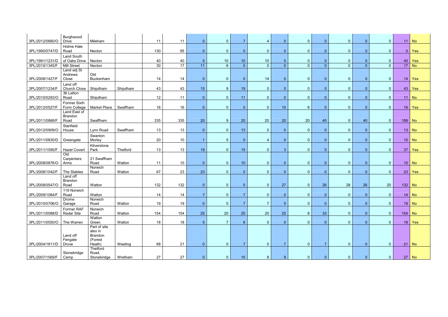| 3PL/2012/0660/O | Burghwood<br><b>Drive</b>              | Mileham                                                        |          | 11  | 11  | $\overline{0}$  | $\mathbf{0}$    | $\overline{7}$  | $\overline{4}$ | $\overline{0}$ | $\overline{0}$  | $\overline{0}$ | $\overline{0}$ | $\overline{0}$ | $\mathbf{0}$   |           | $11$ No      |
|-----------------|----------------------------------------|----------------------------------------------------------------|----------|-----|-----|-----------------|-----------------|-----------------|----------------|----------------|-----------------|----------------|----------------|----------------|----------------|-----------|--------------|
| 3PL/1990/0747/D | Holme Hale<br>Road                     | Necton                                                         |          | 130 | 95  | $\overline{0}$  | $\overline{0}$  | $\overline{0}$  | $\overline{0}$ | $\mathbf{0}$   | $\overline{0}$  | $\Omega$       | $\overline{0}$ | $\overline{0}$ | $\overline{0}$ | 0         | Yes          |
| 3PL/1991/1231/D | Land South<br>of Oaks Drive            | Necton                                                         |          | 40  | 40  | $5\phantom{.0}$ | 10              | 10              | 10             | 5 <sub>1</sub> | $\mathbf 0$     | $\overline{0}$ | $\overline{0}$ | 0              | $\mathbf{0}$   | 40        | <b>Yes</b>   |
| 3PL/2010/1345/F | <b>Mill Street</b>                     | Necton                                                         |          | 30  | 17  | 11              | $6\overline{6}$ | $\overline{0}$  | $\overline{0}$ | $\overline{0}$ | $\overline{0}$  | $\overline{0}$ | $\overline{0}$ | $\Omega$       | $\overline{0}$ |           | $17$ No      |
| 3PL/2008/1427/F | Land adj St<br>Andrews<br>Close        | Old<br>Buckenham                                               |          | 14  | 14  | $\overline{0}$  | $\overline{0}$  | $\overline{0}$  | 14             | $\overline{0}$ | $\overline{0}$  | $\overline{0}$ | $\overline{0}$ | $\overline{0}$ | $\overline{0}$ |           | $14$ Yes     |
| 3PL/2007/1234/F | Land off<br>Church Close               | Shipdham                                                       | Shipdham | 43  | 43  | 15              | 9               | 19              | $\overline{0}$ | $\overline{0}$ | $\overline{0}$  | $\overline{0}$ | $\overline{0}$ | $\Omega$       | $\mathbf{0}$   | 43        | <b>Yes</b>   |
| 3PL/2010/0293/O | 36 Letton<br>Road                      | Shipdham                                                       |          | 12  | 11  | $\overline{0}$  | $\overline{0}$  | 11              | $\overline{0}$ | $\overline{0}$ | $\overline{0}$  | $\Omega$       | $\overline{0}$ | $\Omega$       | $\mathbf{0}$   |           | $11$ No      |
| 3PL/2012/0527/F | Former Sixth<br>Form College           | <b>Market Place</b>                                            | Swaffham | 16  | 16  | $\overline{0}$  | $\overline{0}$  | $\overline{0}$  | $\overline{0}$ | 10             | $6\phantom{1}6$ | $\Omega$       | $\overline{0}$ | $\overline{0}$ | $\mathbf{0}$   | 16        | Yes          |
| 3PL/2011/0868/F | Land East of<br><b>Brandon</b><br>Road | Swaffham                                                       |          | 335 | 335 | 20              | 9               | 20              | 20             | 20             | 20              | 40             | $\overline{0}$ | 40             | $\overline{0}$ | $189$ No  |              |
|                 | Stanfield                              |                                                                |          |     |     |                 |                 |                 |                |                |                 |                |                |                |                |           |              |
| 3PL/2012/0909/O | House                                  | Lynn Road                                                      | Swaffham | 13  | 13  | $\overline{0}$  | $\mathbf{0}$    | 13              | $\overline{0}$ | $\overline{0}$ | $\overline{0}$  | $\overline{0}$ | $\overline{0}$ | $\overline{0}$ | $\mathbf{0}$   |           | $13 \mid$ No |
| 3PL/2011/0830/D | Greengate                              | Swanton<br>Morley                                              |          | 20  | 10  | $\overline{1}$  | $5\overline{)}$ | $\overline{0}$  | $\overline{4}$ | $\overline{0}$ | $\overline{0}$  | $\overline{0}$ | $\overline{0}$ | $\overline{0}$ | $\mathbf{0}$   |           | $10$ No      |
| 3PL/2011/1095/F | <b>Hazel Covert</b>                    | Kilverstone<br>Park                                            | Thetford | 13  | 13  | 19              | $\overline{0}$  | 15              | $\overline{0}$ | 3              | $\overline{0}$  | $\Omega$       | $\overline{0}$ | $\Omega$       | $\overline{0}$ | 37        | Yes          |
|                 | Old<br>Carpenters                      | 21 Swaffham                                                    |          |     |     |                 |                 |                 |                |                |                 |                |                |                |                |           |              |
| 3PL/2008/0876/O | Arms                                   | Road                                                           | Watton   | 11  | 10  | $\overline{0}$  | $\overline{0}$  | 10              | $\overline{0}$ | $\overline{0}$ | $\overline{0}$  | $\overline{0}$ | $\overline{0}$ | $\overline{0}$ | $\mathbf{0}$   |           | $10$ No      |
| 3PL/2008/1042/F | The Stables                            | Norwich<br>Road                                                | Watton   | 67  | 23  | 23              | $\overline{0}$  | $\overline{0}$  | $\overline{0}$ | $\mathbf{0}$   | $\overline{0}$  | $\Omega$       | $\overline{0}$ | $\Omega$       | $\mathbf{0}$   | $23 \mid$ | Yes          |
| 3PL/2008/0547/O | Land off<br><b>Brandon</b><br>Road     | Watton                                                         |          | 132 | 132 | $\overline{0}$  | $\overline{0}$  | $\mathbf{0}$    | $\overline{0}$ | 27             | $\overline{0}$  | 26             | 28             | 26             | 25             | $132$ No  |              |
| 3PL/2009/1084/F | 119 Norwich<br>Road                    | Watton                                                         |          | 14  | 14  | 7               | $\overline{0}$  | -7              | $\overline{0}$ | $\mathbf{0}$   | $\overline{0}$  | $\Omega$       | $\overline{0}$ | $\Omega$       | $\mathbf{0}$   |           | $14 \mid$ No |
| 3PL/2010/0706/O | Drome<br>Garage                        | Norwich<br>Road                                                | Watton   | 19  | 19  | $\overline{0}$  | 0               | 7 <sup>7</sup>  | $7\phantom{.}$ | 5 <sub>1</sub> | $\overline{0}$  | $\overline{0}$ | $\overline{0}$ | $\overline{0}$ | 0 <sup>1</sup> |           | $19$ No      |
| 3PL/2011/0088/D | Former RAF<br>Radar Site               | Norwich<br>Road                                                | Watton   | 154 | 154 | 25              | 20              | 25              | 20             | 25             | $6\phantom{.}6$ | 33             | $\overline{0}$ | $\Omega$       | $\overline{0}$ | 154   No  |              |
| 3PL/2011/0550/O | The Warren                             | Watton<br>Green                                                | Watton   | 18  | 18  | 5 <sub>5</sub>  | $\overline{7}$  | $6^{\circ}$     | $\mathbf 0$    | $\overline{0}$ | $\overline{0}$  | $\theta$       | $\overline{0}$ | $\Omega$       | $\overline{0}$ |           | $18$ Yes     |
| 3PL/2004/1811/D | Land off<br>Fengate<br>Drove           | Part of site<br>also in<br><b>Brandon</b><br>(Forest<br>Heath) | Weeting  | 68  | 21  | $\overline{0}$  | $\overline{0}$  | $\overline{7}$  | $\overline{0}$ | $\overline{7}$ | $\overline{0}$  | 7              | $\overline{0}$ | $\Omega$       | $\overline{0}$ |           | $21$ No      |
| 3PL/2007/1569/F | Stonebridge<br>Camp                    | Thetford<br>Road,<br>Stonebridge                               | Wretham  | 27  | 27  | 0               | $\overline{0}$  | 10 <sup>°</sup> | 8              | $9^{\circ}$    | $\overline{0}$  | $\overline{0}$ | $\overline{0}$ |                | $\overline{0}$ |           | $27$ No      |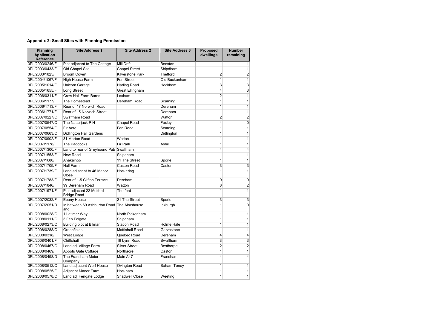#### **Appendix 2: Small Sites with Planning Permission**

| <b>Planning</b><br><b>Application</b><br><b>Reference</b> | <b>Site Address 1</b>                             | <b>Site Address 2</b>  | <b>Site Address 3</b> | <b>Proposed</b><br>dwellings | <b>Number</b><br>remaining |
|-----------------------------------------------------------|---------------------------------------------------|------------------------|-----------------------|------------------------------|----------------------------|
| 3PL/2003/0246/F                                           | Plot adjacent to The Cottage                      | <b>Mill Drift</b>      | <b>Beeston</b>        | 1                            |                            |
| 3PL/2003/0433/F                                           | Old Chapel Site                                   | <b>Chapel Street</b>   | Shipdham              | 1                            | 1                          |
| 3PL/2003/1825/F                                           | <b>Broom Covert</b>                               | Kilverstone Park       | Thetford              | $\overline{2}$               | $\overline{2}$             |
| 3PL/2004/1067/F                                           | High House Farm                                   | Fen Street             | Old Buckenham         | 1                            | 1                          |
| 3PL/2005/1014/F                                           | Unicorn Garage                                    | <b>Harling Road</b>    | Hockham               | 3                            | 3                          |
| 3PL/2005/1655/F                                           | Long Street                                       | <b>Great Ellingham</b> |                       | 4                            | 3                          |
| 3PL/2006/0311/F                                           | <b>Crow Hall Farm Barns</b>                       | Lexham                 |                       | $\overline{2}$               | 1                          |
| 3PL/2006/1177/F                                           | The Homestead                                     | Dereham Road           | Scarning              | 1                            |                            |
| 3PL/2006/1713/F                                           | Rear of 17 Norwich Road                           |                        | Dereham               | 1                            | 1                          |
| 3PL/2006/1771/F                                           | Rear of 15 Norwich Street                         |                        | Dereham               | 1                            | $\mathbf 1$                |
| 3PL/2007/0227/O                                           | Swaffham Road                                     |                        | Watton                | $\overline{2}$               | $\overline{\mathbf{c}}$    |
| 3PL/2007/0547/O                                           | The Natterjack P H                                | <b>Chapel Road</b>     | Foxley                | 4                            | 0                          |
| 3PL/2007/0554/F                                           | Fir Acre                                          | Fen Road               | Scarning              | 1                            |                            |
| 3PL/2007/0663/O                                           | <b>Didlington Hall Gardens</b>                    |                        | Didlington            | 1                            | 1                          |
| 3PL/2007/0902/F                                           | 31 Merton Road                                    | Watton                 |                       | 1                            |                            |
| 3PL/2007/1178/F                                           | The Paddocks                                      | <b>Fir Park</b>        | Ashill                | 1                            | 1                          |
| 3PL/2007/1300/F                                           | Land to rear of Greyhound Pub Swaffham            |                        |                       | 4                            | 4                          |
| 3PL/2007/1553/F                                           | New Road                                          | Shipdham               |                       | 1                            |                            |
| 3PL/2007/1680/F                                           | Anakainoo                                         | 11 The Street          | Sporle                | 1                            | 1                          |
| 3PL/2007/1709/F                                           | <b>Hall Farm</b>                                  | Caston Road            | Caston                | 3                            | 3                          |
| 3PL/2007/1739/F                                           | Land adjacent to 46 Manor<br>Close                | Hockering              |                       |                              | 1                          |
| 3PL/2007/1783/F                                           | Rear of 1-5 Clifton Terrace                       | Dereham                |                       | 9                            | 9                          |
| 3PL/2007/1846/F                                           | 99 Dereham Road                                   | Watton                 |                       | 8                            | $\overline{\mathbf{c}}$    |
| 3PL/2007/1971/F                                           | Plat adjacent 22 Melford<br><b>Bridge Road</b>    | <b>Thetford</b>        |                       | 1                            | $\mathbf{1}$               |
| 3PL/2007/2032/F                                           | Ebony House                                       | 21 The Street          | Sporle                | 3                            | 3                          |
| 3PL/2007/2051/D                                           | In between 69 Ashburton Road The Almshouse<br>and |                        | Ickburgh              |                              | 0                          |
| 3PL/2008/0028/O                                           | 1 Latimer Way                                     | North Pickenham        |                       | 1                            | $\mathbf{1}$               |
| 3PL/2008/0111/O                                           | 3 Fen Folgate                                     | Shipdham               |                       | 1                            |                            |
| 3PL/2008/0273/O                                           | <b>Building plot at Bilmar</b>                    | <b>Station Road</b>    | Holme Hale            | 1                            |                            |
| 3PL/2008/0288/O                                           | Greenfields                                       | Mattishall Road        | Garvestone            | 1                            | 1                          |
| 3PL/2008/0318/F                                           | West Lodge                                        | Quebec Road            | Dereham               | 4                            | 4                          |
| 3PL/2008/0401/F                                           | Chiffchaff                                        | 19 Lynn Road           | Swaffham              | 3                            | $\mathbf{3}$               |
| 3PL/2008/0467/O                                           | Land adj Village Farm                             | <b>Silver Street</b>   | Besthorpe             | 2                            | $\mathbf{2}$               |
| 3PL/2008/0469/F                                           | <b>Abbots Gate Cottage</b>                        | Northacre              | Caston                | 1                            | 1                          |
| 3PL/2008/0498/D                                           | The Fransham Motor<br>Company                     | Main A47               | Fransham              | 4                            | 4                          |
| 3PL/2008/0512/O                                           | Land adjacent Werf House                          | Ovington Road          | Saham Toney           | 1                            | $\mathbf{1}$               |
| 3PL/2008/0525/F                                           | Adjacent Manor Farm                               | <b>Hockham</b>         |                       | 1                            | 1                          |
| 3PL/2008/0578/O                                           | Land adj Fengate Lodge                            | Shadwell Close         | Weeting               | 1                            | $\mathbf{1}$               |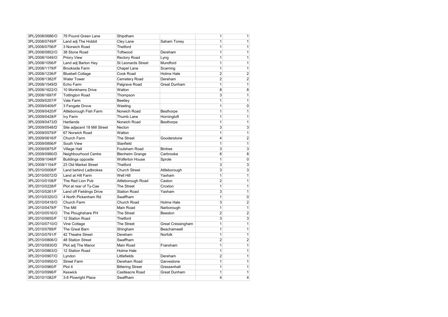| 3PL/2008/0686/O | 79 Pound Green Lane          | Shipdham                  |                          |                |                         |
|-----------------|------------------------------|---------------------------|--------------------------|----------------|-------------------------|
| 3PL/2008/0749/F | Land adj The Hobbit          | Cley Lane                 | Saham Toney              |                |                         |
| 3PL/2008/0756/F | 3 Norwich Road               | <b>Thetford</b>           |                          |                |                         |
| 3PL/2008/0852/O | 38 Stone Road                | Toftwood                  | Dereham                  |                | 1                       |
| 3PL/2008/1049/O | Priory View                  | <b>Rectory Road</b>       | Lyng                     |                |                         |
| 3PL/2008/1056/F | Land adj Barton Hay          | <b>St Leonards Street</b> | Mundford                 |                |                         |
| 3PL/2008/1179/F | <b>Brookside Farm</b>        | Chapel Lane               | Scarning                 |                | 1                       |
| 3PL/2008/1236/F | <b>Bluebell Cottage</b>      | Cook Road                 | Holme Hale               | $\overline{2}$ | 2                       |
| 3PL/2008/1382/F | <b>Water Tower</b>           | Cemetery Road             | Dereham                  | 2              | 2                       |
| 3PL/2008/1549/D | Echo Farm                    | Palgrave Road             | <b>Great Dunham</b>      | 1              | 1                       |
| 3PL/2008/1622/O | 10 Monkhams Drive            | Watton                    |                          | 8              | 8                       |
| 3PL/2008/1697/F | <b>Tottington Road</b>       | Thompson                  |                          | 3              | 1                       |
| 3PL/2009/0207/F | Vale Farm                    | <b>Beetley</b>            |                          |                | 1                       |
| 3PL/2009/0409/F | 3 Fengate Drove              | Weeting                   |                          |                | 0                       |
| 3PL/2009/0420/F | Attleborough Fish Farm       | Norwich Road              | <b>Besthorpe</b>         |                |                         |
| 3PL/2009/0428/F | Ivy Farm                     | Thumb Lane                | Horningtoft              |                | 1                       |
| 3PL/2009/0473/D | Hartlands                    | Norwich Road              | <b>Besthorpe</b>         |                | 1                       |
| 3PL/2009/0548/D | Site adjacent 18 Mill Street | Necton                    |                          | 3              | 3                       |
| 3PL/2009/0579/F | 67 Norwich Road              | Watton                    |                          |                |                         |
| 3PL/2009/0616/F | Church Farm                  | The Street                | Gooderstone              | 4              | $\overline{\mathbf{c}}$ |
| 3PL/2009/0856/F | South View                   | Stanfield                 |                          |                | 1                       |
| 3PL/2009/0875/F | <b>Village Hall</b>          | Foulsham Road             | <b>Bintree</b>           | 3              | 3                       |
| 3PL/2009/0990/D | Neighbourhood Centre         | <b>Blenheim Grange</b>    | Carbrooke                | 8              | 8                       |
| 3PL/2009/1048/F | <b>Buildings opposite</b>    | <b>Wolferton House</b>    | Sprole                   |                | 0                       |
| 3PL/2009/1154/F | 23 Old Market Street         | <b>Thetford</b>           |                          | 3              | 3                       |
| 3PL/2010/0008/F | <b>Land behind Ladbrokes</b> | <b>Church Street</b>      | Attleborough             | 3              | 3                       |
| 3PL/2010/0072/D | Land at Hill Farm            | Well Hill                 | Yaxham                   |                |                         |
| 3PL/2010/0108/F | The Red Lion Pub             | Attleborough Road         | Caston                   | 2              | 1                       |
| 3PL/2010/0228/F | Plot at rear of Ty-Cae       | The Street                | Croxton                  |                |                         |
| 3PL/2010/0261/F | Land off Fieldings Drive     | <b>Station Road</b>       | Yaxham                   | 3              |                         |
| 3PL/2010/0320/O | 4 North Pickenham Rd         | Swaffham                  |                          |                | 0                       |
| 3PL/2010/0418/O | Church Farm                  | Church Road               | Holme Hale               | 3              | 2                       |
| 3PL/2010/0478/F | The Mill                     | Main Road                 | Narborough               |                | 1                       |
| 3PL/2010/0516/O | The Ploughshare PH           | The Street                | <b>Beeston</b>           | 2              | 2                       |
| 3PL/2010/0655/F | 12 Station Road              | <b>Thetford</b>           |                          | 3              | 3                       |
| 3PL/2010/0710/O | Vine Cottage                 | The Street                | <b>Great Cressingham</b> | 1              | 1                       |
| 3PL/2010/0789/F | The Great Barn               | Shingham                  | Beachamwell              |                |                         |
| 3PL/2010/0791/F | 42 Theatre Street            | Dereham                   | Norfolk                  |                | 1                       |
| 3PL/2010/0806/O | 48 Station Street            | Swaffham                  |                          | 2              | 2                       |
| 3PL/2010/0830/D | Plot adj The Manor           | Main Road                 | Fransham                 |                | 1                       |
| 3PL/2010/0863/O | 12 Station Road              | Holme Hale                |                          |                | 1                       |
| 3PL/2010/0907/O | Lyndon                       | Littlefields              | Dereham                  | 2              | 1                       |
| 3PL/2010/0950/O | <b>Street Farm</b>           | Dereham Road              | Garvestone               |                |                         |
| 3PL/2010/0960/F | Plot 4                       | <b>Bittering Street</b>   | Gressenhall              |                | 1                       |
| 3PL/2010/0996/F | <b>Keswick</b>               | Castleacre Road           | <b>Great Dunham</b>      | 1              | 1                       |
| 3PL/2010/1082/F | 3-8 Plowright Place          | Swaffham                  |                          | 4              | 4                       |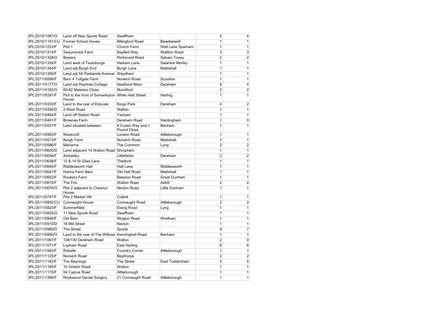| 3PL/2010/1087/O                  | Land off New Sporle Road                                    | Swaffham                         |                       | 4              | 4                       |
|----------------------------------|-------------------------------------------------------------|----------------------------------|-----------------------|----------------|-------------------------|
| 3PL/2010/1151/CU                 | Former School House                                         | <b>Billingford Road</b>          | Bawdeswell            |                | 1                       |
| 3PL/2010/1233/F                  | Plot 1                                                      | Church Farm                      | Well Lane Sparham     | 1              | 1                       |
| 3PL/2010/1314/F                  | Swaynsnest Farm                                             | <b>Bayfied Way</b>               | <b>Wattton Road</b>   | 3              | 3                       |
| 3PL/2010/1328/O                  | <b>Bowers</b>                                               | <b>Richmond Road</b>             | Saham Toney           | $\overline{2}$ | $\overline{\mathbf{c}}$ |
| 3PL/2010/1334/F                  | Land west of Teutoburge                                     | Harkers Lane                     | <b>Swanton Morley</b> |                | 1                       |
| 3PL/2010/1344/F                  | Land adj Burgh End                                          | <b>Burgh Lane</b>                | Mattishall            | 1              | 1                       |
| 3PL/2010/1358/F                  | Land adj 58 Parklands Avenue                                | Shipdham                         |                       | 1              | 1                       |
| 3PL/2011/0006/F                  | Barn 4 Tollgate Farm                                        | Norwich Road                     | Scoulton              | 1              | 1 <sup>1</sup>          |
| 3PL/2011/0177/O                  | Land adj Peartree Cottage                                   | Neatherd Moor                    | Dereham               | 4              | 4                       |
| 3PL/2011/0192/O                  | 60-62 Malsters Close                                        | Mundford                         |                       | $\overline{2}$ | $\overline{\mathbf{c}}$ |
| 3PL/2011/0291/F                  | Plot to the front of Somerleyton White Hart Street<br>House |                                  | Harling               |                | 1                       |
| 3PL/2011/0330/F                  | Land to the rear of Edovale                                 | Kings Park                       | Dereham               | 4              | $\overline{2}$          |
| 3PL/2011/0356/D                  | 2 West Road                                                 | Watton                           |                       | 1              | 1                       |
| 3PL/2011/0404/F                  | Land off Station Road                                       | Yaxham                           |                       |                | 1                       |
| 3PL/2011/0491/F                  | <b>Brownes Farm</b>                                         | Dereham Road                     | Hardingham            | 1              | 0                       |
| 3PL/2011/0537/F                  | Land situated between                                       | 8 Crown Way and 1<br>Pound Close | Banham                | 1              | 1 <sup>1</sup>          |
| 3PL/2011/0563/F                  | Westcroft                                                   | London Road                      | Attleborough          | 1              | $\mathbf{1}$            |
| 3PL/2011/0573/F                  | <b>Burgh Farm</b>                                           | Norwich Road                     | Mattishall            | 1              | 1                       |
| 3PL/2011/0586/F                  | Malverne                                                    | The Common                       | Lyng                  | 2              | 2                       |
| 3PL/2011/0600/D                  | Land adjacent 14 Watton Road Shropham                       |                                  |                       | 1              | 1                       |
| 3PL/2011/0636/F                  | Amberley                                                    | Littlefields                     | Dereham               | $\overline{2}$ | $\boldsymbol{2}$        |
| 3PL/2011/0638/F                  | 12 & 14 St Giles Lane                                       | <b>Thetford</b>                  |                       | 1              | 1                       |
| 3PL/2011/0640/F                  | <b>Riddlesworth Hall</b>                                    | Hall Lane                        | Riddlesworth          |                | 1                       |
| 3PL/2011/0647/F                  | Holme Farm Barn                                             | Old Hall Road                    | Mattishall            | 1              | 1                       |
| 3PL/2011/0652/F                  | Rookery Farm                                                | <b>Beeston Road</b>              | <b>Great Dunham</b>   | 1              | 1                       |
| 3PL/2011/0670/F                  | <b>The Firs</b>                                             | <b>Watton Road</b>               | Ashill                | $\overline{2}$ | 2                       |
| 3PL/2011/0676/O                  | Plot 2 adjacent to Chesnut<br>House                         | Necton Road                      | Little Dunham         | 1              | 1                       |
| 3PL/2011/0747/F                  | Plot 2 Market Hill                                          | <b>Colkirk</b>                   |                       | 1              | 1                       |
| 3PL/2011/0802/CU Connaught House |                                                             | Connaught Road                   | Attleborough          | $\overline{2}$ | $\mathbf{2}$            |
| 3PL/2011/0820/F                  | Summerfield                                                 | <b>Elsing Road</b>               | Lyng                  | 1              | 1                       |
| 3PL/2011/0825/O                  | 11 New Sporle Road                                          | Swaffham                         |                       | 1              | 1                       |
| 3PL/2011/0849/F                  | Old Barn                                                    | Illington Road                   | Wretham               | 1              | 1                       |
| 3PL/2011/0910/D                  | 18 Mill Street                                              | Necton                           |                       | 1              | 1                       |
| 3PL/2011/0989/D                  | The Street                                                  | Sporle                           |                       | 9              | $\overline{7}$          |
| 3PL/2011/0990/O                  | Land to the rear of The Willows Kenninghall Road            |                                  | Banham                | 1              | 1                       |
| 3PL/2011/1067/F                  | 128/130 Dereham Road                                        | Watton                           |                       | 2              | 0                       |
| 3PL/2011/1071/F                  | Lopham Road                                                 | <b>East Harling</b>              |                       | 8              | 8                       |
| 3PL/2011/1083/F                  | Robelle                                                     | <b>Foundry Corner</b>            | Attleborough          | 1              | 1                       |
| 3PL/2011/1125/F                  | Norwich Road                                                | Besthorpe                        |                       | $\overline{c}$ | 2                       |
| 3PL/2011/1142/F                  | The Baynings                                                | The Street                       | East Tuddenham        | 5              | 5                       |
| 3PL/2011/1165/F                  | 10 Griston Road                                             | Watton                           |                       | 1              | 1                       |
| 3PL/2011/1175/F                  | 54 Cyprus Road                                              | Attleborough                     |                       | 1              | 1                       |
| 3PL/2011/1266/F                  | Rookwood Dental Surgery                                     | 21 Connaught Road                | Attleborough          | 1              | 1                       |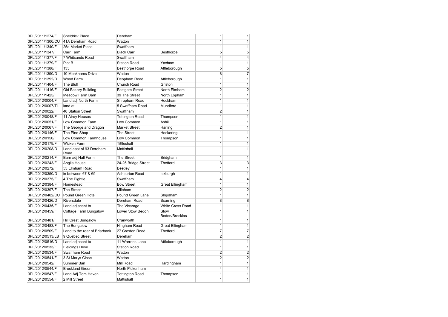| 3PL/2011/1274/F  | <b>Sheldrick Place</b>          | Dereham                |                        | 1              | $\mathbf{1}$   |
|------------------|---------------------------------|------------------------|------------------------|----------------|----------------|
| 3PL/2011/1300/CU | 41A Dereham Road                | Watton                 |                        | 1              | 1              |
| 3PL/2011/1340/F  | 25a Market Place                | Swaffham               |                        |                | $\mathbf{1}$   |
| 3PL/2011/1347/F  | Carr Farm                       | <b>Black Carr</b>      | Besthorpe              | 5              | 5              |
| 3PL/2011/1377/F  | 7 Whitsands Road                | Swaffham               |                        | 4              | $\overline{4}$ |
| 3PL/2011/1379/F  | Plot B                          | <b>Station Road</b>    | Yaxham                 | 1              | 1              |
| 3PL/2011/1388/F  | 135                             | <b>Besthorpe Road</b>  | Attleborough           | 5              | 5              |
| 3PL/2011/1390/D  | 10 Monkhams Drive               | Watton                 |                        | 8              | $\overline{7}$ |
| 3PL/2011/1392/D  | Wood Farm                       | Deopham Road           | Attleborough           | 1              | $\mathbf{1}$   |
| 3PL/2011/1404/F  | The Bluff                       | Church Road            | Griston                | 1              | 1              |
| 3PL/2011/1416/F  | Old Bakery Building             | Eastgate Street        | North Elmham           | $\overline{2}$ | $\mathbf{2}$   |
| 3PL/2011/1425/F  | <b>Meadow Farm Barn</b>         | 39 The Street          | North Lopham           | 1              | 1              |
| 3PL/2012/0004/F  | Land adj North Farm             | Shropham Road          | Hockham                | 1              | $\mathbf{1}$   |
| 3PL/2012/0007/TL | land at                         | 5 Swaffham Road        | Mundford               | 1              | $\mathbf{1}$   |
| 3PL/2012/0022/F  | 40 Station Street               | Swaffham               |                        | $\overline{2}$ | $\mathbf{1}$   |
| 3PL/2012/0048/F  | 11 Airey Houses                 | <b>Tottington Road</b> | Thompson               | 1              | 1              |
| 3PL/2012/0051/F  | Low Common Farm                 | Low Common             | Ashill                 | 1              | 1              |
| 3PL/2012/0067/F  | The George and Dragon           | <b>Market Street</b>   | Harling                | 2              | $\mathbf{1}$   |
| 3PL/2012/0146/F  | The Pine Shop                   | The Street             | Hockering              | 1              | $\mathbf{1}$   |
| 3PL/2012/0150/F  | Low Common Farmhouse            | Low Common             | Thompson               | 1              | $\mathbf{1}$   |
| 3PL/2012/0179/F  | Wicken Farm                     | <b>Tittleshall</b>     |                        | 1              | $\mathbf{1}$   |
| 3PL/2012/0208/D  | Land east of 93 Dereham<br>Road | Mattishall             |                        |                | $\mathbf{1}$   |
| 3PL/2012/0214/F  | Barn adj Hall Farm              | The Street             | Bridgham               | 1              | 1              |
| 3PL/2012/0243/F  | Anglia House                    | 24-26 Bridge Street    | Thetford               | 3              | 3              |
| 3PL/2012/0272/F  | 55 Elmham Road                  | Beetley                |                        | 1              | 1              |
| 3PL/2012/0350/D  | in between 67 & 69              | Ashburton Road         | Ickburgh               | 1              | 1              |
| 3PL/2012/0375/F  | 4 The Pightle                   | Swaffham               |                        | 4              | 4              |
| 3PL/2012/0384/F  | Homestead                       | <b>Bow Street</b>      | <b>Great Ellingham</b> | 1              | $\mathbf{1}$   |
| 3PL/2012/0397/F  | The Street                      | Mileham                |                        | $\overline{2}$ | 2              |
| 3PL/2012/0402/CU | Pound Green Hotel               | Pound Green Lane       | Shipdham               | 1              | 1              |
| 3PL/2012/0426/D  | Riversdale                      | Dereham Road           | Scarning               | 8              | 8              |
| 3PL/2012/0435/F  | Land adjacent to                | The Vicarage           | White Cross Road       | 1              | $\vert$        |
| 3PL/2012/0459/F  | Cottage Farm Bungalow           | Lower Stow Bedon       | Stow<br>Bedon/Brecklas | 1              | 1              |
| 3PL/2012/0481/F  | Hill Crest Bungalow             | Cranworth              |                        | 1              | $\mathbf{1}$   |
| 3PL/2012/0483/F  | The Bungalow                    | Hingham Road           | <b>Great Ellingham</b> | 1              | $\mathbf{1}$   |
| 3PL/2012/0509/F  | Land to the rear of Briarbank   | 27 Croxton Road        | <b>Thetford</b>        | 7              | $\overline{7}$ |
| 3PL/2012/0513/LB | 9 Quebec Street                 | Dereham                |                        | $\overline{2}$ | $\mathbf{2}$   |
| 3PL/2012/0516/D  | Land adjacent to                | 11 Warrens Lane        | Attleborough           | 1              | 1              |
| 3PL/2012/0533/F  | <b>Fieldings Drive</b>          | <b>Station Road</b>    |                        | 1              | 1              |
| 3PL/2012/0534/F  | Swaffham Road                   | Watton                 |                        | $\overline{2}$ | $\mathbf{2}$   |
| 3PL/2012/0541/F  | 3 St Marys Close                | Watton                 |                        | $\overline{2}$ | $\mathbf{2}$   |
| 3PL/2012/0542/F  | Summer Ban                      | Mill Road              | Hardingham             | 1              | $\mathbf{1}$   |
| 3PL/2012/0544/F  | <b>Breckland Green</b>          | North Pickenham        |                        | 4              | 1              |
| 3PL/2012/0547/F  | Land Adj Tom Haven              | <b>Tottington Road</b> | Thompson               | 1              | $\mathbf{1}$   |
| 3PL/2012/0554/F  | 2 Mill Street                   | Mattishall             |                        | 1              | 1              |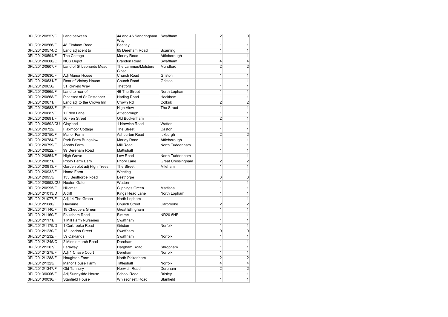| 3PL/2012/0557/O  | Land between               | 44 and 46 Sandringham<br>Way | Swaffham                 | 2                       | 0                       |
|------------------|----------------------------|------------------------------|--------------------------|-------------------------|-------------------------|
| 3PL/2012/0566/F  | 48 Elmham Road             | <b>Beetley</b>               |                          | 1                       | 1                       |
| 3PL/2012/0574/O  | Land adjacent to           | 65 Dereham Road              | Scarning                 | 1                       | 1                       |
| 3PL/2012/0594/F  | The Cottage                | Morley Road                  | Attleborough             |                         | 1                       |
| 3PL/2012/0600/O  | <b>NCS Depot</b>           | <b>Brandon Road</b>          | Swaffham                 | 4                       | 4                       |
| 3PL/2012/0607/F  | Land of St Leonards Mead   | The Lammas/Malsters<br>Close | Mundford                 | $\overline{2}$          | $\overline{2}$          |
| 3PL/2012/0630/F  | Adj Manor House            | Church Road                  | Griston                  | 1                       | 1                       |
| 3PL/2012/0631/F  | Rear of Victory House      | Church Road                  | Griston                  |                         | 1                       |
| 3PL/2012/0656/F  | 51 Icknield Way            | <b>Thetford</b>              |                          |                         | 1                       |
| 3PL/2012/0665/F  | Land to rear of            | 46 The Street                | North Lopham             |                         | 1                       |
| 3PL/2012/0668/F  | Plot east of St Cristopher | <b>Harling Road</b>          | Hockham                  | 1                       | 1                       |
| 3PL/2012/0671/F  | Land adj to the Crown Inn  | Crown Rd                     | Colkirk                  | $\overline{c}$          | $\overline{\mathbf{c}}$ |
| 3PL/2012/0683/F  | Plot 4                     | <b>High View</b>             | <b>The Street</b>        |                         | 1                       |
| 3PL/2012/0687/F  | 1 Eden Lane                | Attleborough                 |                          | 1                       | 1                       |
| 3PL/2012/0691/F  | 56 Fen Street              | Old Buckenham                |                          | $\overline{c}$          | 1                       |
| 3PL/2012/0692/CU | Clayland                   | 1 Norwich Road               | Watton                   |                         | 1                       |
| 3PL/2012/0722/F  | <b>Flaxmoor Cottage</b>    | The Street                   | Caston                   | 1                       | 1                       |
| 3PL/2012/0750/F  | <b>Manor Farm</b>          | <b>Ashburton Road</b>        | Ickburgh                 | $\overline{2}$          | $\overline{2}$          |
| 3PL/2012/0784/F  | Park Farm Bungalow         | Morley Road                  | Attleborough             | 1                       | 1                       |
| 3PL/2012/0799/F  | <b>Abotts Farm</b>         | Mill Road                    | North Tuddenham          | 1                       | 1                       |
| 3PL/2012/0822/F  | 99 Dereham Road            | Mattishall                   |                          |                         | 1                       |
| 3PL/2012/0854/F  | <b>High Grove</b>          | Low Road                     | North Tuddenham          | 1                       | 1                       |
| 3PL/2012/0871/F  | Priory Farm Barn           | Priory Lane                  | <b>Great Cressingham</b> | $\overline{2}$          | $\overline{\mathbf{c}}$ |
| 3PL/2012/0913/F  | Garden plot adj High Trees | The Street                   | Mileham                  |                         | 1                       |
| 3PL/2012/0932/F  | Home Farm                  | Weeting                      |                          | 1                       | 1                       |
| 3PL/2012/0953/F  | 135 Besthorpe Road         | <b>Besthorpe</b>             |                          | 3                       | 3                       |
| 3PL/2012/0992/CU | Neaton Gate                | Watton                       |                          | 1                       | 1                       |
| 3PL/2012/0995/F  | <b>Hillcrest</b>           | <b>Clippings Green</b>       | Mattishall               | 1                       | 1                       |
| 3PL/2012/1013/D  | <b>Alcliff</b>             | Kings Head Lane              | North Lopham             | 1                       | 1                       |
| 3PL/2012/1077/F  | Adj 14 The Green           | North Lopham                 |                          | 1                       | 1                       |
| 3PL/2012/1080/F  | Davonne                    | <b>Church Street</b>         | Carbrooke                | $\overline{\mathbf{c}}$ | 2                       |
| 3PL/2012/1140/F  | 19 Chequers Green          | <b>Great Ellingham</b>       |                          |                         | 1                       |
| 3PL/2012/1160/F  | Foulsham Road              | <b>Bintree</b>               | <b>NR20 5NB</b>          | 1                       | 1                       |
| 3PL/2012/1171/F  | 1 Mill Farm Nurseries      | Swaffham                     |                          |                         | 1                       |
| 3PL/2012/1179/D  | 1 Carbrooke Road           | Griston                      | Norfolk                  | 1                       | 1                       |
| 3PL/2012/1230/F  | 13 London Street           | Swaffham                     |                          | 9                       | 9                       |
| 3PL/2012/1232/F  | 59 Oaklands                | Swaffham                     | Norfolk                  |                         | 1                       |
| 3PL/2012/1245/O  | 2 Middlemarch Road         | Dereham                      |                          | 1                       | 1                       |
| 3PL/2012/1267/F  | Faraway                    | Hargham Road                 | Shropham                 | 1                       | 1                       |
| 3PL/2012/1278/F  | Adj 1 Chase Court          | Dereham                      | Norfolk                  | 1                       | 1                       |
| 3PL/2012/1288/F  | <b>Houghton Farm</b>       | North Pickenham              |                          | 2                       | 2                       |
| 3PL/2012/1323/F  | Manor House Farm           | <b>Tittleshall</b>           | Norfolk                  | 4                       | 4                       |
| 3PL/2012/1347/F  | Old Tannery                | Norwich Road                 | Dereham                  | $\overline{2}$          | 2                       |
| 3PL/2013/0006/F  | Adj Sunnyside House        | <b>School Road</b>           | <b>Brisley</b>           | 1                       | $\mathbf{1}$            |
| 3PL/2013/0036/F  | <b>Stanfield House</b>     | Whissonsett Road             | Stanfield                | 1                       | 1                       |
|                  |                            |                              |                          |                         |                         |